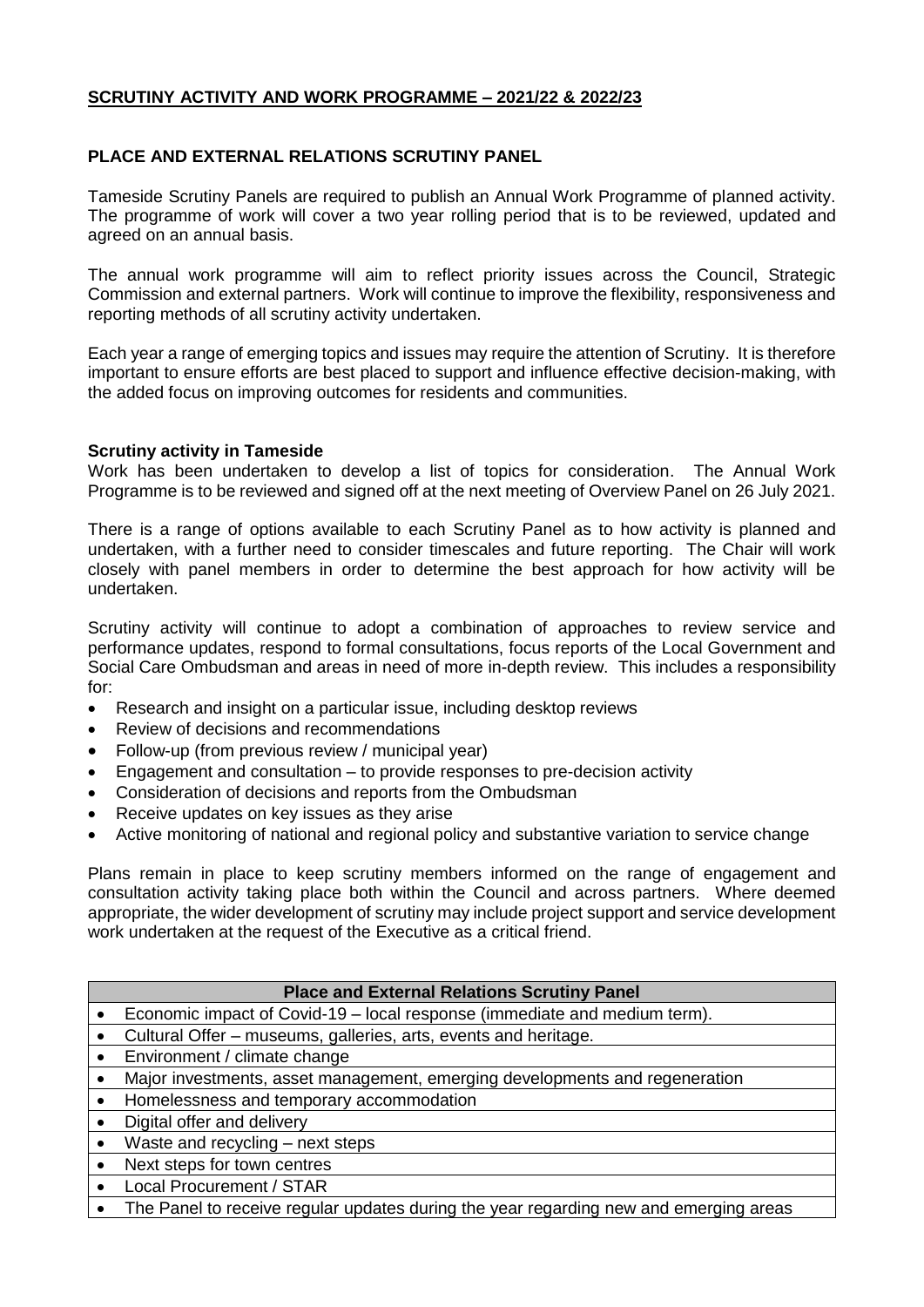# **SCRUTINY ACTIVITY AND WORK PROGRAMME – 2021/22 & 2022/23**

## **PLACE AND EXTERNAL RELATIONS SCRUTINY PANEL**

Tameside Scrutiny Panels are required to publish an Annual Work Programme of planned activity. The programme of work will cover a two year rolling period that is to be reviewed, updated and agreed on an annual basis.

The annual work programme will aim to reflect priority issues across the Council, Strategic Commission and external partners. Work will continue to improve the flexibility, responsiveness and reporting methods of all scrutiny activity undertaken.

Each year a range of emerging topics and issues may require the attention of Scrutiny. It is therefore important to ensure efforts are best placed to support and influence effective decision-making, with the added focus on improving outcomes for residents and communities.

### **Scrutiny activity in Tameside**

Work has been undertaken to develop a list of topics for consideration. The Annual Work Programme is to be reviewed and signed off at the next meeting of Overview Panel on 26 July 2021.

There is a range of options available to each Scrutiny Panel as to how activity is planned and undertaken, with a further need to consider timescales and future reporting. The Chair will work closely with panel members in order to determine the best approach for how activity will be undertaken.

Scrutiny activity will continue to adopt a combination of approaches to review service and performance updates, respond to formal consultations, focus reports of the Local Government and Social Care Ombudsman and areas in need of more in-depth review. This includes a responsibility for:

- Research and insight on a particular issue, including desktop reviews
- Review of decisions and recommendations
- Follow-up (from previous review / municipal year)
- Engagement and consultation to provide responses to pre-decision activity
- Consideration of decisions and reports from the Ombudsman
- Receive updates on key issues as they arise
- Active monitoring of national and regional policy and substantive variation to service change

Plans remain in place to keep scrutiny members informed on the range of engagement and consultation activity taking place both within the Council and across partners. Where deemed appropriate, the wider development of scrutiny may include project support and service development work undertaken at the request of the Executive as a critical friend.

#### **Place and External Relations Scrutiny Panel**

- Economic impact of Covid-19 local response (immediate and medium term).
- Cultural Offer museums, galleries, arts, events and heritage.
- Environment / climate change
- Major investments, asset management, emerging developments and regeneration
- Homelessness and temporary accommodation
- Digital offer and delivery
- Waste and recycling next steps
- Next steps for town centres
- Local Procurement / STAR
- The Panel to receive regular updates during the year regarding new and emerging areas